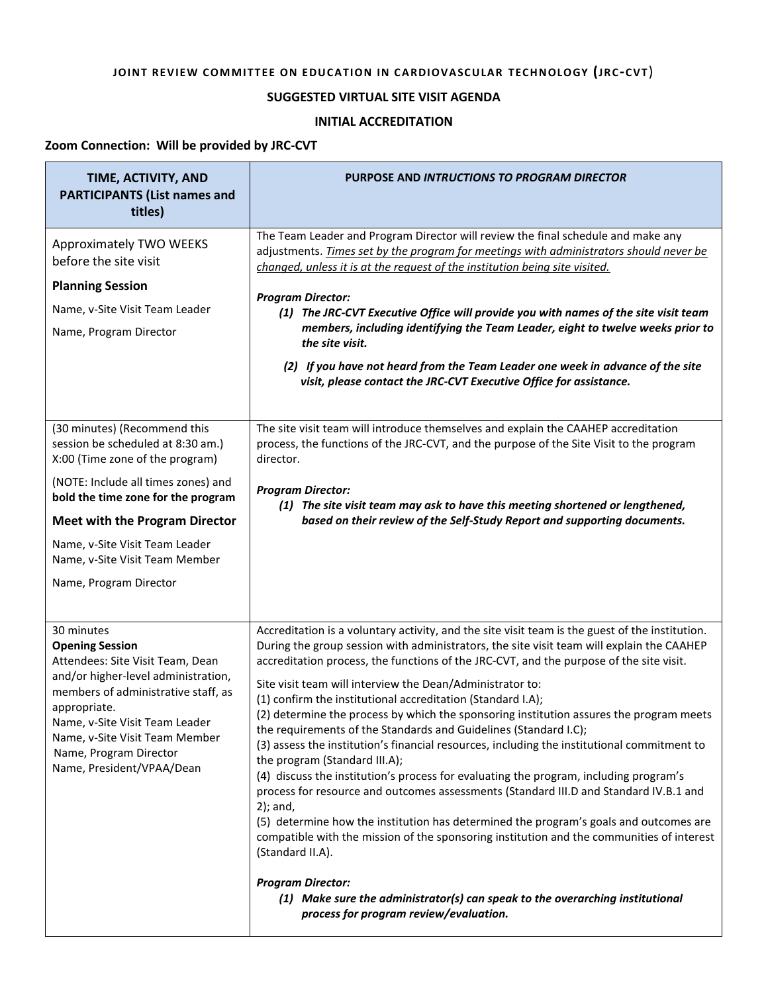## **JOINT REVIEW COMMITTEE ON EDUCATION IN CARDIOVASCULAR TECHNOLOGY (JRC-CVT)**

## **SUGGESTED VIRTUAL SITE VISIT AGENDA**

## **INITIAL ACCREDITATION**

## **Zoom Connection: Will be provided by JRC-CVT**

| TIME, ACTIVITY, AND<br><b>PARTICIPANTS (List names and</b><br>titles)                                                                                                                                                                                                                                                    | PURPOSE AND INTRUCTIONS TO PROGRAM DIRECTOR                                                                                                                                                                                                                                                                                                                                                                                                                                                                                                                                                                                                                                                                                                                                                                                                                                                                                                                                                                                                                                                                                                                                                                                                                                          |
|--------------------------------------------------------------------------------------------------------------------------------------------------------------------------------------------------------------------------------------------------------------------------------------------------------------------------|--------------------------------------------------------------------------------------------------------------------------------------------------------------------------------------------------------------------------------------------------------------------------------------------------------------------------------------------------------------------------------------------------------------------------------------------------------------------------------------------------------------------------------------------------------------------------------------------------------------------------------------------------------------------------------------------------------------------------------------------------------------------------------------------------------------------------------------------------------------------------------------------------------------------------------------------------------------------------------------------------------------------------------------------------------------------------------------------------------------------------------------------------------------------------------------------------------------------------------------------------------------------------------------|
| Approximately TWO WEEKS<br>before the site visit<br><b>Planning Session</b><br>Name, v-Site Visit Team Leader<br>Name, Program Director                                                                                                                                                                                  | The Team Leader and Program Director will review the final schedule and make any<br>adjustments. Times set by the program for meetings with administrators should never be<br>changed, unless it is at the request of the institution being site visited.<br><b>Program Director:</b><br>(1) The JRC-CVT Executive Office will provide you with names of the site visit team<br>members, including identifying the Team Leader, eight to twelve weeks prior to<br>the site visit.<br>(2) If you have not heard from the Team Leader one week in advance of the site<br>visit, please contact the JRC-CVT Executive Office for assistance.                                                                                                                                                                                                                                                                                                                                                                                                                                                                                                                                                                                                                                            |
| (30 minutes) (Recommend this<br>session be scheduled at 8:30 am.)<br>X:00 (Time zone of the program)<br>(NOTE: Include all times zones) and<br>bold the time zone for the program<br><b>Meet with the Program Director</b><br>Name, v-Site Visit Team Leader<br>Name, v-Site Visit Team Member<br>Name, Program Director | The site visit team will introduce themselves and explain the CAAHEP accreditation<br>process, the functions of the JRC-CVT, and the purpose of the Site Visit to the program<br>director.<br><b>Program Director:</b><br>(1) The site visit team may ask to have this meeting shortened or lengthened,<br>based on their review of the Self-Study Report and supporting documents.                                                                                                                                                                                                                                                                                                                                                                                                                                                                                                                                                                                                                                                                                                                                                                                                                                                                                                  |
| 30 minutes<br><b>Opening Session</b><br>Attendees: Site Visit Team, Dean<br>and/or higher-level administration,<br>members of administrative staff, as<br>appropriate.<br>Name, v-Site Visit Team Leader<br>Name, v-Site Visit Team Member<br>Name, Program Director<br>Name, President/VPAA/Dean                        | Accreditation is a voluntary activity, and the site visit team is the guest of the institution.<br>During the group session with administrators, the site visit team will explain the CAAHEP<br>accreditation process, the functions of the JRC-CVT, and the purpose of the site visit.<br>Site visit team will interview the Dean/Administrator to:<br>(1) confirm the institutional accreditation (Standard I.A);<br>(2) determine the process by which the sponsoring institution assures the program meets<br>the requirements of the Standards and Guidelines (Standard I.C);<br>(3) assess the institution's financial resources, including the institutional commitment to<br>the program (Standard III.A);<br>(4) discuss the institution's process for evaluating the program, including program's<br>process for resource and outcomes assessments (Standard III.D and Standard IV.B.1 and<br>$2$ ); and,<br>(5) determine how the institution has determined the program's goals and outcomes are<br>compatible with the mission of the sponsoring institution and the communities of interest<br>(Standard II.A).<br><b>Program Director:</b><br>(1) Make sure the administrator(s) can speak to the overarching institutional<br>process for program review/evaluation. |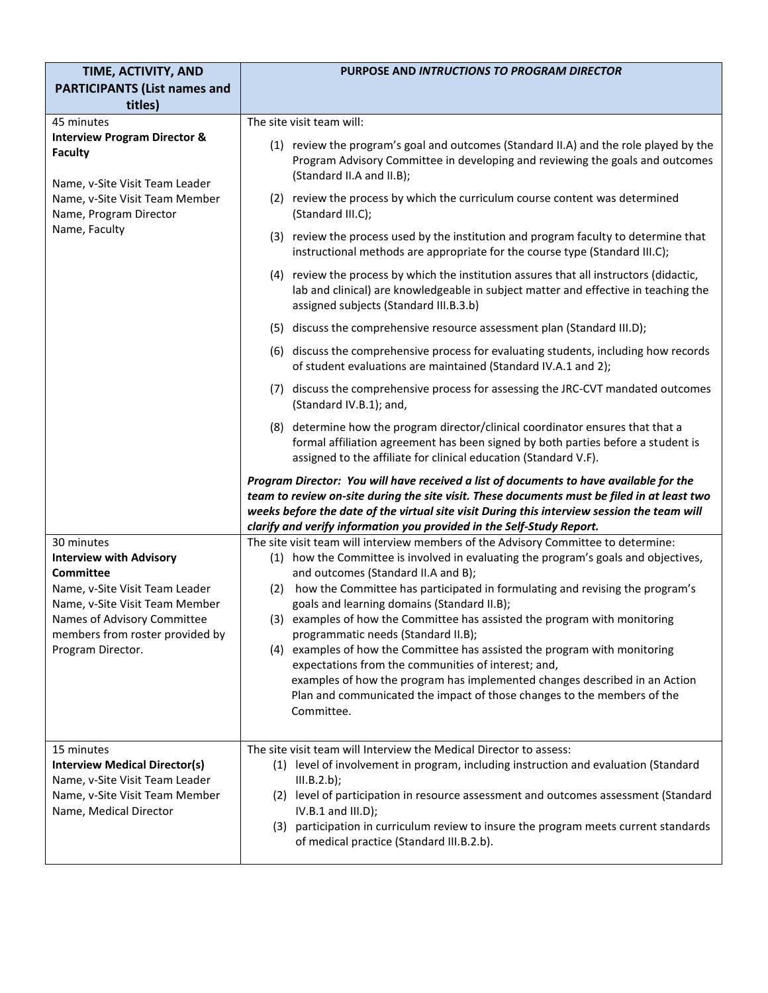| TIME, ACTIVITY, AND                                                                                                                                                                                                         | PURPOSE AND INTRUCTIONS TO PROGRAM DIRECTOR                                                                                                                                                                                                                                                                                                                                                                                                                                                                                                                                                                                                                                                                                                                                          |
|-----------------------------------------------------------------------------------------------------------------------------------------------------------------------------------------------------------------------------|--------------------------------------------------------------------------------------------------------------------------------------------------------------------------------------------------------------------------------------------------------------------------------------------------------------------------------------------------------------------------------------------------------------------------------------------------------------------------------------------------------------------------------------------------------------------------------------------------------------------------------------------------------------------------------------------------------------------------------------------------------------------------------------|
| <b>PARTICIPANTS (List names and</b><br>titles)                                                                                                                                                                              |                                                                                                                                                                                                                                                                                                                                                                                                                                                                                                                                                                                                                                                                                                                                                                                      |
| 45 minutes                                                                                                                                                                                                                  | The site visit team will:                                                                                                                                                                                                                                                                                                                                                                                                                                                                                                                                                                                                                                                                                                                                                            |
| <b>Interview Program Director &amp;</b><br><b>Faculty</b><br>Name, v-Site Visit Team Leader<br>Name, v-Site Visit Team Member<br>Name, Program Director<br>Name, Faculty                                                    | (1) review the program's goal and outcomes (Standard II.A) and the role played by the<br>Program Advisory Committee in developing and reviewing the goals and outcomes<br>(Standard II.A and II.B);                                                                                                                                                                                                                                                                                                                                                                                                                                                                                                                                                                                  |
|                                                                                                                                                                                                                             | (2) review the process by which the curriculum course content was determined<br>(Standard III.C);                                                                                                                                                                                                                                                                                                                                                                                                                                                                                                                                                                                                                                                                                    |
|                                                                                                                                                                                                                             | (3) review the process used by the institution and program faculty to determine that<br>instructional methods are appropriate for the course type (Standard III.C);                                                                                                                                                                                                                                                                                                                                                                                                                                                                                                                                                                                                                  |
|                                                                                                                                                                                                                             | (4) review the process by which the institution assures that all instructors (didactic,<br>lab and clinical) are knowledgeable in subject matter and effective in teaching the<br>assigned subjects (Standard III.B.3.b)                                                                                                                                                                                                                                                                                                                                                                                                                                                                                                                                                             |
|                                                                                                                                                                                                                             | (5) discuss the comprehensive resource assessment plan (Standard III.D);                                                                                                                                                                                                                                                                                                                                                                                                                                                                                                                                                                                                                                                                                                             |
|                                                                                                                                                                                                                             | (6) discuss the comprehensive process for evaluating students, including how records<br>of student evaluations are maintained (Standard IV.A.1 and 2);                                                                                                                                                                                                                                                                                                                                                                                                                                                                                                                                                                                                                               |
|                                                                                                                                                                                                                             | (7) discuss the comprehensive process for assessing the JRC-CVT mandated outcomes<br>(Standard IV.B.1); and,                                                                                                                                                                                                                                                                                                                                                                                                                                                                                                                                                                                                                                                                         |
|                                                                                                                                                                                                                             | (8) determine how the program director/clinical coordinator ensures that that a<br>formal affiliation agreement has been signed by both parties before a student is<br>assigned to the affiliate for clinical education (Standard V.F).                                                                                                                                                                                                                                                                                                                                                                                                                                                                                                                                              |
|                                                                                                                                                                                                                             | Program Director: You will have received a list of documents to have available for the<br>team to review on-site during the site visit. These documents must be filed in at least two<br>weeks before the date of the virtual site visit During this interview session the team will<br>clarify and verify information you provided in the Self-Study Report.                                                                                                                                                                                                                                                                                                                                                                                                                        |
| 30 minutes<br><b>Interview with Advisory</b><br><b>Committee</b><br>Name, v-Site Visit Team Leader<br>Name, v-Site Visit Team Member<br>Names of Advisory Committee<br>members from roster provided by<br>Program Director. | The site visit team will interview members of the Advisory Committee to determine:<br>(1) how the Committee is involved in evaluating the program's goals and objectives,<br>and outcomes (Standard II.A and B);<br>(2) how the Committee has participated in formulating and revising the program's<br>goals and learning domains (Standard II.B);<br>(3) examples of how the Committee has assisted the program with monitoring<br>programmatic needs (Standard II.B);<br>(4) examples of how the Committee has assisted the program with monitoring<br>expectations from the communities of interest; and,<br>examples of how the program has implemented changes described in an Action<br>Plan and communicated the impact of those changes to the members of the<br>Committee. |
| 15 minutes<br><b>Interview Medical Director(s)</b><br>Name, v-Site Visit Team Leader<br>Name, v-Site Visit Team Member<br>Name, Medical Director                                                                            | The site visit team will Interview the Medical Director to assess:<br>level of involvement in program, including instruction and evaluation (Standard<br>(1)<br>III.B.2.b);<br>level of participation in resource assessment and outcomes assessment (Standard<br>(2)<br>IV.B.1 and III.D);<br>(3) participation in curriculum review to insure the program meets current standards<br>of medical practice (Standard III.B.2.b).                                                                                                                                                                                                                                                                                                                                                     |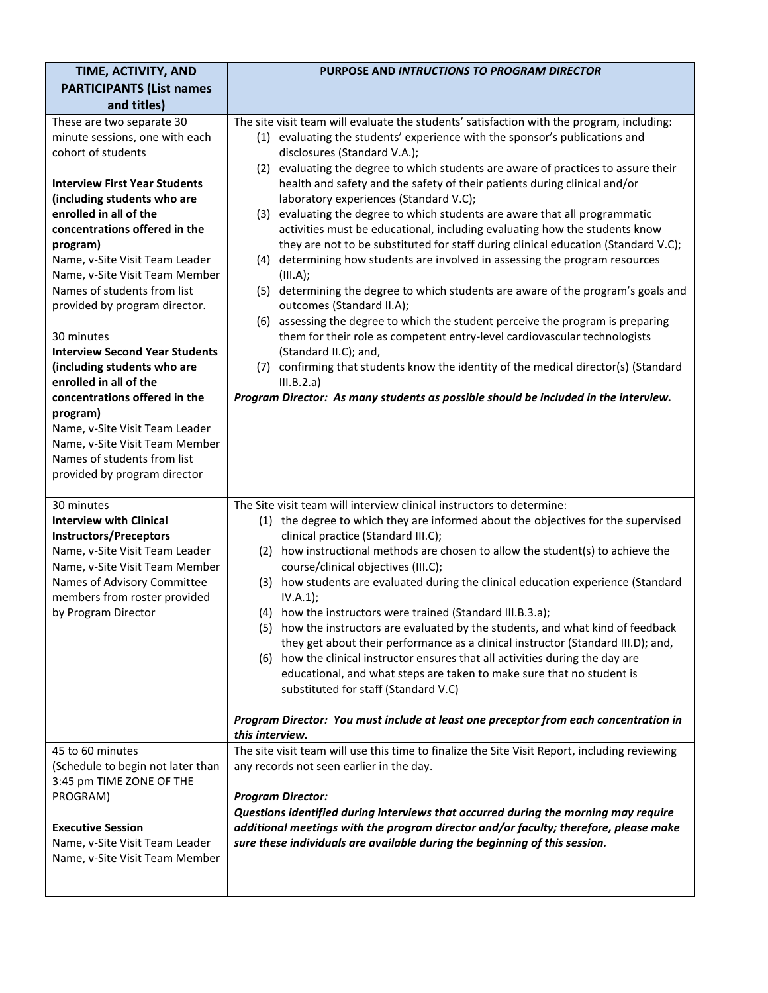| TIME, ACTIVITY, AND<br><b>PARTICIPANTS (List names</b>                                                                                                                                                                                                                                                                                                                                                                                                                                             | PURPOSE AND INTRUCTIONS TO PROGRAM DIRECTOR                                                                                                                                                                                                                                                                                                                                                                                                                                                                                                                                                                                                                                                                                                                                                                                                                                                                                                                                                                                                                                                                                                                                                   |
|----------------------------------------------------------------------------------------------------------------------------------------------------------------------------------------------------------------------------------------------------------------------------------------------------------------------------------------------------------------------------------------------------------------------------------------------------------------------------------------------------|-----------------------------------------------------------------------------------------------------------------------------------------------------------------------------------------------------------------------------------------------------------------------------------------------------------------------------------------------------------------------------------------------------------------------------------------------------------------------------------------------------------------------------------------------------------------------------------------------------------------------------------------------------------------------------------------------------------------------------------------------------------------------------------------------------------------------------------------------------------------------------------------------------------------------------------------------------------------------------------------------------------------------------------------------------------------------------------------------------------------------------------------------------------------------------------------------|
| and titles)<br>These are two separate 30<br>minute sessions, one with each<br>cohort of students<br><b>Interview First Year Students</b><br>(including students who are<br>enrolled in all of the<br>concentrations offered in the<br>program)<br>Name, v-Site Visit Team Leader<br>Name, v-Site Visit Team Member<br>Names of students from list<br>provided by program director.<br>30 minutes<br><b>Interview Second Year Students</b><br>(including students who are<br>enrolled in all of the | The site visit team will evaluate the students' satisfaction with the program, including:<br>(1) evaluating the students' experience with the sponsor's publications and<br>disclosures (Standard V.A.);<br>evaluating the degree to which students are aware of practices to assure their<br>(2)<br>health and safety and the safety of their patients during clinical and/or<br>laboratory experiences (Standard V.C);<br>evaluating the degree to which students are aware that all programmatic<br>(3)<br>activities must be educational, including evaluating how the students know<br>they are not to be substituted for staff during clinical education (Standard V.C);<br>determining how students are involved in assessing the program resources<br>(4)<br>(III.A);<br>(5) determining the degree to which students are aware of the program's goals and<br>outcomes (Standard II.A);<br>(6) assessing the degree to which the student perceive the program is preparing<br>them for their role as competent entry-level cardiovascular technologists<br>(Standard II.C); and,<br>(7) confirming that students know the identity of the medical director(s) (Standard<br>III.B.2.a) |
| concentrations offered in the<br>program)<br>Name, v-Site Visit Team Leader<br>Name, v-Site Visit Team Member<br>Names of students from list<br>provided by program director                                                                                                                                                                                                                                                                                                                       | Program Director: As many students as possible should be included in the interview.                                                                                                                                                                                                                                                                                                                                                                                                                                                                                                                                                                                                                                                                                                                                                                                                                                                                                                                                                                                                                                                                                                           |
| 30 minutes<br><b>Interview with Clinical</b><br><b>Instructors/Preceptors</b><br>Name, v-Site Visit Team Leader<br>Name, v-Site Visit Team Member<br>Names of Advisory Committee<br>members from roster provided<br>by Program Director                                                                                                                                                                                                                                                            | The Site visit team will interview clinical instructors to determine:<br>(1) the degree to which they are informed about the objectives for the supervised<br>clinical practice (Standard III.C);<br>(2) how instructional methods are chosen to allow the student(s) to achieve the<br>course/clinical objectives (III.C);<br>(3) how students are evaluated during the clinical education experience (Standard<br>IV.A.1);<br>(4) how the instructors were trained (Standard III.B.3.a);<br>(5) how the instructors are evaluated by the students, and what kind of feedback<br>they get about their performance as a clinical instructor (Standard III.D); and,<br>(6) how the clinical instructor ensures that all activities during the day are<br>educational, and what steps are taken to make sure that no student is<br>substituted for staff (Standard V.C)<br>Program Director: You must include at least one preceptor from each concentration in                                                                                                                                                                                                                                 |
| 45 to 60 minutes                                                                                                                                                                                                                                                                                                                                                                                                                                                                                   | this interview.<br>The site visit team will use this time to finalize the Site Visit Report, including reviewing                                                                                                                                                                                                                                                                                                                                                                                                                                                                                                                                                                                                                                                                                                                                                                                                                                                                                                                                                                                                                                                                              |
| (Schedule to begin not later than<br>3:45 pm TIME ZONE OF THE<br>PROGRAM)<br><b>Executive Session</b><br>Name, v-Site Visit Team Leader<br>Name, v-Site Visit Team Member                                                                                                                                                                                                                                                                                                                          | any records not seen earlier in the day.<br><b>Program Director:</b><br>Questions identified during interviews that occurred during the morning may require<br>additional meetings with the program director and/or faculty; therefore, please make<br>sure these individuals are available during the beginning of this session.                                                                                                                                                                                                                                                                                                                                                                                                                                                                                                                                                                                                                                                                                                                                                                                                                                                             |